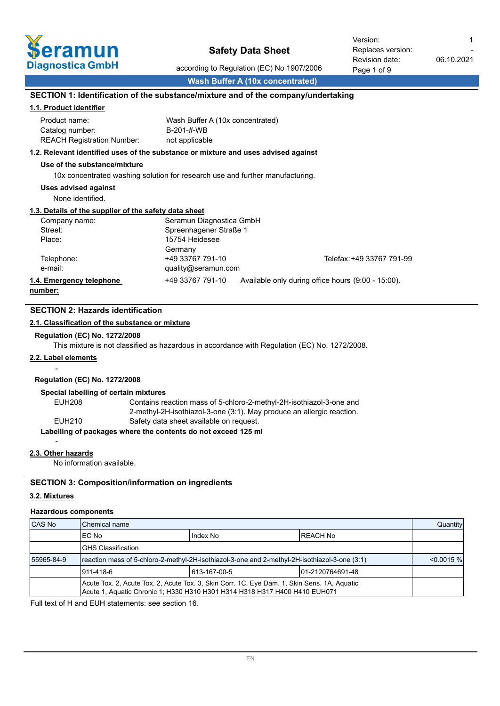

according to Regulation (EC) No 1907/2006

-

**Wash Buffer A (10x concentrated)**

## **SECTION 1: Identification of the substance/mixture and of the company/undertaking**

### **1.1. Product identifier**

| Product name:                     | Wash Buffer A (10x concentrated) |
|-----------------------------------|----------------------------------|
| Catalog number:                   | B-201-#-WB                       |
| <b>REACH Registration Number:</b> | not applicable                   |

#### **1.2. Relevant identified uses of the substance or mixture and uses advised against**

### **Use of the substance/mixture**

10x concentrated washing solution for research use and further manufacturing.

#### **Uses advised against**

None identified.

## **1.3. Details of the supplier of the safety data sheet**

| Company name:            | Seramun Diagnostica GmbH |                                                    |
|--------------------------|--------------------------|----------------------------------------------------|
| Street:                  | Spreenhagener Straße 1   |                                                    |
| Place:                   | 15754 Heidesee           |                                                    |
|                          | Germany                  |                                                    |
| Telephone:               | +49 33767 791-10         | Telefax: +49 33767 791-99                          |
| e-mail:                  | quality@seramun.com      |                                                    |
| 1.4. Emergency telephone | +49 33767 791-10         | Available only during office hours (9:00 - 15:00). |
|                          |                          |                                                    |

**number:**

## **SECTION 2: Hazards identification**

## **2.1. Classification of the substance or mixture**

#### **Regulation (EC) No. 1272/2008**

This mixture is not classified as hazardous in accordance with Regulation (EC) No. 1272/2008.

#### **2.2. Label elements**

-

## **Regulation (EC) No. 1272/2008**

#### **Special labelling of certain mixtures**

EUH208 Contains reaction mass of 5-chloro-2-methyl-2H-isothiazol-3-one and 2-methyl-2H-isothiazol-3-one (3:1). May produce an allergic reaction. EUH210 Safety data sheet available on request. **Labelling of packages where the contents do not exceed 125 ml**

#### **2.3. Other hazards**

-

No information available.

## **SECTION 3: Composition/information on ingredients**

## **3.2. Mixtures**

#### **Hazardous components**

| <b>CAS No</b> | <b>I</b> Chemical name                                                                                                                                                    |                       |  |  |  |
|---------------|---------------------------------------------------------------------------------------------------------------------------------------------------------------------------|-----------------------|--|--|--|
|               | IEC No                                                                                                                                                                    | Index No<br>IREACH No |  |  |  |
|               | IGHS Classification                                                                                                                                                       |                       |  |  |  |
| 55965-84-9    | reaction mass of 5-chloro-2-methyl-2H-isothiazol-3-one and 2-methyl-2H-isothiazol-3-one (3:1)                                                                             |                       |  |  |  |
|               | 1613-167-00-5<br>1911-418-6<br>101-2120764691-48                                                                                                                          |                       |  |  |  |
|               | Acute Tox. 2, Acute Tox. 2, Acute Tox. 3, Skin Corr. 1C, Eye Dam. 1, Skin Sens. 1A, Aquatic<br>Acute 1, Aquatic Chronic 1; H330 H310 H301 H314 H318 H317 H400 H410 EUH071 |                       |  |  |  |

Full text of H and EUH statements: see section 16.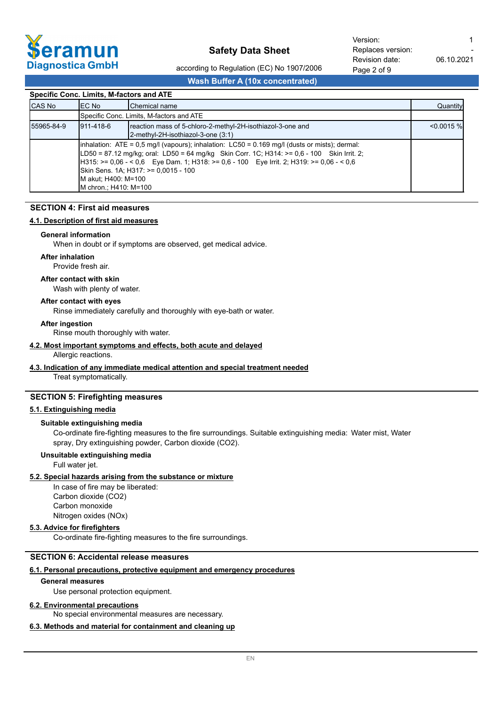

Page 2 of 9 Revision date Replaces version: Version: 1

according to Regulation (EC) No 1907/2006

## **Wash Buffer A (10x concentrated)**

| 06.1<br>e: | .ו טוטו |  |
|------------|---------|--|
|            |         |  |

0.2021

-

|--|

|               | Specific Conc. Limits, M-factors and ATE                                                                                                                                                                                                                                                                                                                                                     |                                          |          |  |  |  |
|---------------|----------------------------------------------------------------------------------------------------------------------------------------------------------------------------------------------------------------------------------------------------------------------------------------------------------------------------------------------------------------------------------------------|------------------------------------------|----------|--|--|--|
| <b>CAS No</b> | IEC No                                                                                                                                                                                                                                                                                                                                                                                       | <b>I</b> Chemical name                   | Quantity |  |  |  |
|               |                                                                                                                                                                                                                                                                                                                                                                                              | Specific Conc. Limits, M-factors and ATE |          |  |  |  |
| 55965-84-9    | reaction mass of 5-chloro-2-methyl-2H-isothiazol-3-one and<br>1911-418-6<br>2-methyl-2H-isothiazol-3-one (3:1)                                                                                                                                                                                                                                                                               |                                          |          |  |  |  |
|               | $\lambda$ inhalation: ATE = 0.5 mg/l (vapours); inhalation: LC50 = 0.169 mg/l (dusts or mists); dermal:<br>$LD50 = 87.12$ mg/kg; oral: LD50 = 64 mg/kg Skin Corr. 1C; H314: >= 0.6 - 100 Skin Irrit. 2;<br>H315: >= 0.06 - < 0.6 Eye Dam. 1; H318: >= 0.6 - 100 Eye Irrit. 2; H319: >= 0.06 - < 0.6<br>Skin Sens. 1A: H317: >= 0,0015 - 100<br>IM akut: H400: M=100<br>M chron.; H410: M=100 |                                          |          |  |  |  |

## **SECTION 4: First aid measures**

## **4.1. Description of first aid measures**

#### **General information**

When in doubt or if symptoms are observed, get medical advice.

#### **After inhalation**

Provide fresh air.

#### **After contact with skin**

Wash with plenty of water.

#### **After contact with eyes**

Rinse immediately carefully and thoroughly with eye-bath or water.

#### **After ingestion**

Rinse mouth thoroughly with water.

#### **4.2. Most important symptoms and effects, both acute and delayed**

## Allergic reactions.

## **4.3. Indication of any immediate medical attention and special treatment needed**

Treat symptomatically.

## **SECTION 5: Firefighting measures**

## **5.1. Extinguishing media**

#### **Suitable extinguishing media**

Co-ordinate fire-fighting measures to the fire surroundings. Suitable extinguishing media: Water mist, Water spray, Dry extinguishing powder, Carbon dioxide (CO2).

#### **Unsuitable extinguishing media**

Full water jet.

#### **5.2. Special hazards arising from the substance or mixture**

In case of fire may be liberated: Carbon dioxide (CO2) Carbon monoxide Nitrogen oxides (NOx)

## **5.3. Advice for firefighters**

Co-ordinate fire-fighting measures to the fire surroundings.

## **SECTION 6: Accidental release measures**

### **6.1. Personal precautions, protective equipment and emergency procedures**

#### **General measures**

Use personal protection equipment.

#### **6.2. Environmental precautions**

No special environmental measures are necessary.

## **6.3. Methods and material for containment and cleaning up**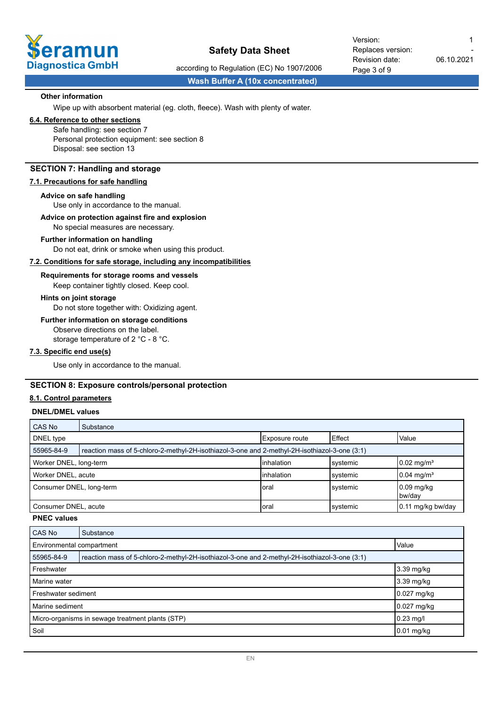

Page 3 of 9 Revision date: Replaces version: Version: 1

according to Regulation (EC) No 1907/2006

**Wash Buffer A (10x concentrated)**

#### **Other information**

Wipe up with absorbent material (eg. cloth, fleece). Wash with plenty of water.

## **6.4. Reference to other sections**

Safe handling: see section 7 Personal protection equipment: see section 8 Disposal: see section 13

## **SECTION 7: Handling and storage**

#### **7.1. Precautions for safe handling**

#### **Advice on safe handling**

Use only in accordance to the manual.

#### **Advice on protection against fire and explosion**

No special measures are necessary.

#### **Further information on handling**

Do not eat, drink or smoke when using this product.

#### **7.2. Conditions for safe storage, including any incompatibilities**

Keep container tightly closed. Keep cool. **Requirements for storage rooms and vessels**

## **Hints on joint storage**

Do not store together with: Oxidizing agent.

## **Further information on storage conditions**

Observe directions on the label. storage temperature of 2 °C - 8 °C.

**7.3. Specific end use(s)**

Use only in accordance to the manual.

## **SECTION 8: Exposure controls/personal protection**

#### **8.1. Control parameters**

### **DNEL/DMEL values**

| CAS No                                                                    | Substance                                                                                     |                |          |                         |
|---------------------------------------------------------------------------|-----------------------------------------------------------------------------------------------|----------------|----------|-------------------------|
| DNEL type                                                                 |                                                                                               | Exposure route | Effect   | Value                   |
| 55965-84-9                                                                | reaction mass of 5-chloro-2-methyl-2H-isothiazol-3-one and 2-methyl-2H-isothiazol-3-one (3:1) |                |          |                         |
| $0.02 \text{ mg/m}^3$<br>inhalation<br>Worker DNEL, long-term<br>systemic |                                                                                               |                |          |                         |
| Worker DNEL, acute                                                        |                                                                                               | inhalation     | systemic | $10.04 \text{ mg/m}^3$  |
| Consumer DNEL, long-term                                                  |                                                                                               | Ioral          | systemic | $10.09$ mg/kg<br>bw/day |
| Consumer DNEL, acute                                                      |                                                                                               | Ioral          | systemic | 10.11 mg/kg bw/day      |

#### **PNEC values**

| CAS No                                           | Substance                                                                                     |              |  |  |
|--------------------------------------------------|-----------------------------------------------------------------------------------------------|--------------|--|--|
| Value<br>Environmental compartment               |                                                                                               |              |  |  |
| 55965-84-9                                       | reaction mass of 5-chloro-2-methyl-2H-isothiazol-3-one and 2-methyl-2H-isothiazol-3-one (3:1) |              |  |  |
| 3.39 mg/kg<br>Freshwater                         |                                                                                               |              |  |  |
| Marine water                                     |                                                                                               | 3.39 mg/kg   |  |  |
| Freshwater sediment                              |                                                                                               | 0.027 mg/kg  |  |  |
| Marine sediment                                  |                                                                                               | 0.027 mg/kg  |  |  |
| Micro-organisms in sewage treatment plants (STP) |                                                                                               | $0.23$ mg/l  |  |  |
| Soil                                             |                                                                                               | $0.01$ mg/kg |  |  |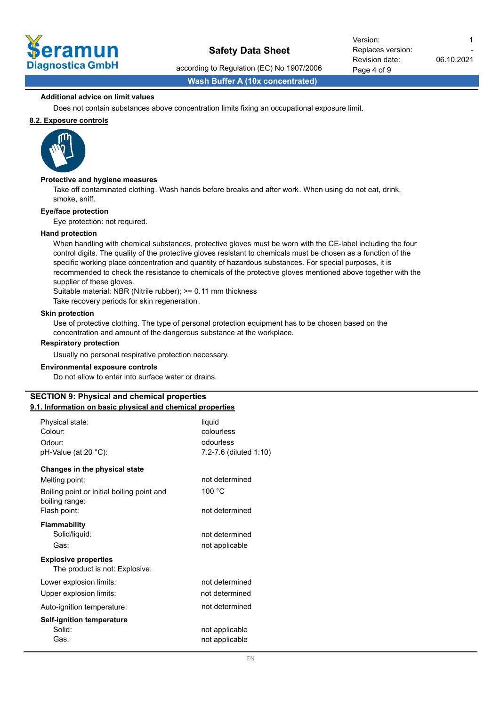

Page 4 of 9 Revision date: Replaces version: Version: 1

according to Regulation (EC) No 1907/2006

06.10.2021 -

**Wash Buffer A (10x concentrated)**

### **Additional advice on limit values**

Does not contain substances above concentration limits fixing an occupational exposure limit.

## **8.2. Exposure controls**



#### **Protective and hygiene measures**

Take off contaminated clothing. Wash hands before breaks and after work. When using do not eat, drink, smoke, sniff.

#### **Eye/face protection**

Eye protection: not required.

#### **Hand protection**

When handling with chemical substances, protective gloves must be worn with the CE-label including the four control digits. The quality of the protective gloves resistant to chemicals must be chosen as a function of the specific working place concentration and quantity of hazardous substances. For special purposes, it is recommended to check the resistance to chemicals of the protective gloves mentioned above together with the supplier of these gloves.

Suitable material: NBR (Nitrile rubber); >= 0.11 mm thickness

Take recovery periods for skin regeneration.

#### **Skin protection**

Use of protective clothing. The type of personal protection equipment has to be chosen based on the concentration and amount of the dangerous substance at the workplace.

#### **Respiratory protection**

Usually no personal respirative protection necessary.

#### **Environmental exposure controls**

Do not allow to enter into surface water or drains.

#### **SECTION 9: Physical and chemical properties 9.1. Information on basic physical and chemical properties**

| Physical state:<br>Colour:<br>Odour:<br>pH-Value (at 20 °C):                                                                    | liquid<br>colourless<br>odourless<br>7.2-7.6 (diluted 1:10) |
|---------------------------------------------------------------------------------------------------------------------------------|-------------------------------------------------------------|
| Changes in the physical state<br>Melting point:<br>Boiling point or initial boiling point and<br>boiling range:<br>Flash point: | not determined<br>100 $^{\circ}$ C<br>not determined        |
| <b>Flammability</b><br>Solid/liquid:<br>Gas:                                                                                    | not determined<br>not applicable                            |
| <b>Explosive properties</b><br>The product is not: Explosive.                                                                   |                                                             |
| Lower explosion limits:<br>Upper explosion limits:                                                                              | not determined<br>not determined                            |
| Auto-ignition temperature:                                                                                                      | not determined                                              |
| Self-ignition temperature<br>Solid:<br>Gas:                                                                                     | not applicable<br>not applicable                            |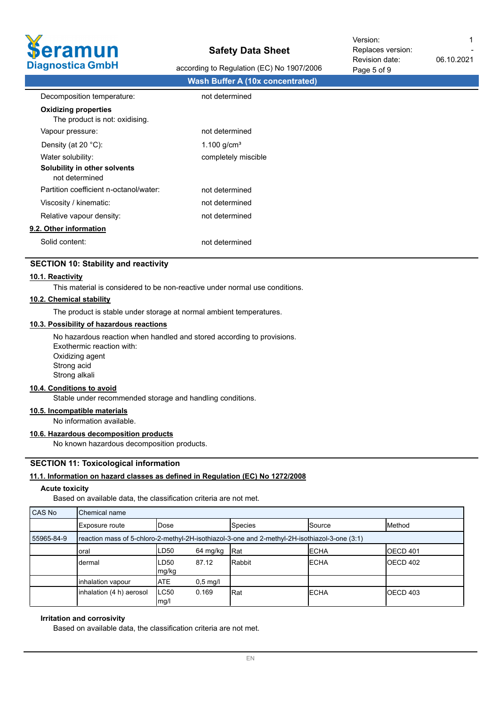

according to Regulation (EC) No 1907/2006

Page 5 of 9 Revision date: Replaces version: Version: 1

-

06.10.2021

|                                                               |                                         | .4900000 |
|---------------------------------------------------------------|-----------------------------------------|----------|
|                                                               | <b>Wash Buffer A (10x concentrated)</b> |          |
| Decomposition temperature:                                    | not determined                          |          |
| <b>Oxidizing properties</b><br>The product is not: oxidising. |                                         |          |
| Vapour pressure:                                              | not determined                          |          |
| Density (at 20 $°C$ ):                                        | 1.100 $g/cm^{3}$                        |          |
| Water solubility:                                             | completely miscible                     |          |
| Solubility in other solvents<br>not determined                |                                         |          |
| Partition coefficient n-octanol/water:                        | not determined                          |          |
| Viscosity / kinematic:                                        | not determined                          |          |
| Relative vapour density:                                      | not determined                          |          |
| 9.2. Other information                                        |                                         |          |
| Solid content:                                                | not determined                          |          |
|                                                               |                                         |          |

## **SECTION 10: Stability and reactivity**

## **10.1. Reactivity**

This material is considered to be non-reactive under normal use conditions.

## **10.2. Chemical stability**

The product is stable under storage at normal ambient temperatures.

### **10.3. Possibility of hazardous reactions**

No hazardous reaction when handled and stored according to provisions. Exothermic reaction with: Oxidizing agent Strong acid Strong alkali

#### **10.4. Conditions to avoid**

Stable under recommended storage and handling conditions.

### **10.5. Incompatible materials**

No information available.

## **10.6. Hazardous decomposition products**

No known hazardous decomposition products.

## **SECTION 11: Toxicological information**

### **11.1. Information on hazard classes as defined in Regulation (EC) No 1272/2008**

#### **Acute toxicity**

Based on available data, the classification criteria are not met.

| CAS No     | Chemical name                                                                                 |                 |                    |                |               |                  |  |  |
|------------|-----------------------------------------------------------------------------------------------|-----------------|--------------------|----------------|---------------|------------------|--|--|
|            | Exposure route                                                                                | IDose           |                    | <b>Species</b> | <b>Source</b> | <b>Method</b>    |  |  |
| 55965-84-9 | reaction mass of 5-chloro-2-methyl-2H-isothiazol-3-one and 2-methyl-2H-isothiazol-3-one (3:1) |                 |                    |                |               |                  |  |  |
|            | oral                                                                                          | LD50            | 64 mg/kg           | <b>IRat</b>    | <b>IECHA</b>  | <b>IOECD 401</b> |  |  |
|            | dermal                                                                                        | ILD50<br> mg/kg | 87.12              | Rabbit         | <b>IECHA</b>  | <b>IOECD 402</b> |  |  |
|            | inhalation vapour                                                                             | <b>ATE</b>      | $0,5 \text{ mg/l}$ |                |               |                  |  |  |
|            | inhalation (4 h) aerosol                                                                      | ILC50<br>mg/l   | 0.169              | Rat            | <b>IECHA</b>  | <b>IOECD 403</b> |  |  |

#### **Irritation and corrosivity**

Based on available data, the classification criteria are not met.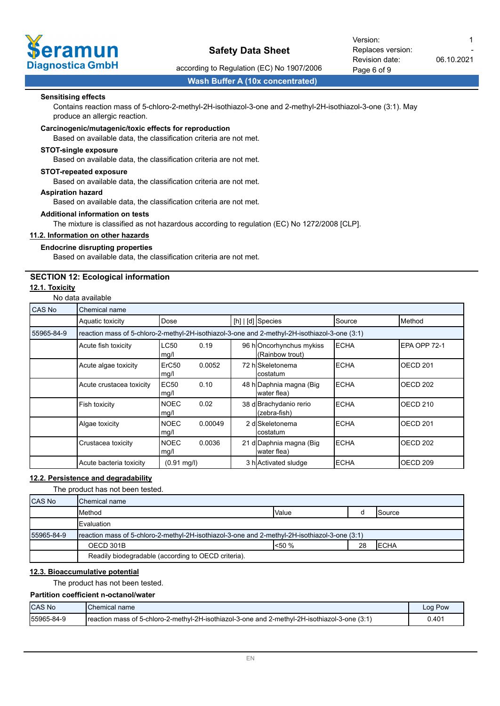

Page 6 of 9 Revision date: Replaces version: Version: 1

according to Regulation (EC) No 1907/2006

06.10.2021

**Wash Buffer A (10x concentrated)**

#### **Sensitising effects**

Contains reaction mass of 5-chloro-2-methyl-2H-isothiazol-3-one and 2-methyl-2H-isothiazol-3-one (3:1). May produce an allergic reaction.

#### **Carcinogenic/mutagenic/toxic effects for reproduction**

Based on available data, the classification criteria are not met.

#### **STOT-single exposure**

Based on available data, the classification criteria are not met.

#### **STOT-repeated exposure**

Based on available data, the classification criteria are not met.

#### **Aspiration hazard**

Based on available data, the classification criteria are not met.

#### **Additional information on tests**

The mixture is classified as not hazardous according to regulation (EC) No 1272/2008 [CLP].

#### **11.2. Information on other hazards**

### **Endocrine disrupting properties**

Based on available data, the classification criteria are not met.

## **SECTION 12: Ecological information**

## **12.1. Toxicity**

No data available

| CAS No     | Chemical name                                                                                 |                           |         |  |                                            |              |                     |  |
|------------|-----------------------------------------------------------------------------------------------|---------------------------|---------|--|--------------------------------------------|--------------|---------------------|--|
|            | Aquatic toxicity                                                                              | Dose                      |         |  | $[h]   [d]$ Species                        | Source       | Method              |  |
| 55965-84-9 | reaction mass of 5-chloro-2-methyl-2H-isothiazol-3-one and 2-methyl-2H-isothiazol-3-one (3:1) |                           |         |  |                                            |              |                     |  |
|            | Acute fish toxicity                                                                           | LC50<br>mg/l              | 0.19    |  | 96 hOncorhynchus mykiss<br>(Rainbow trout) | <b>ECHA</b>  | EPA OPP 72-1        |  |
|            | Acute algae toxicity                                                                          | ErC <sub>50</sub><br>mg/l | 0.0052  |  | 72 hISkeletonema<br>Icostatum              | <b>IECHA</b> | OECD <sub>201</sub> |  |
|            | Acute crustacea toxicity                                                                      | <b>EC50</b><br>mg/l       | 0.10    |  | 48 h Daphnia magna (Big<br>water flea)     | <b>IECHA</b> | OECD <sub>202</sub> |  |
|            | Fish toxicity                                                                                 | <b>NOEC</b><br>mg/l       | 0.02    |  | 38 d Brachydanio rerio<br>(zebra-fish)     | <b>IECHA</b> | OECD <sub>210</sub> |  |
|            | Algae toxicity                                                                                | <b>NOEC</b><br>mg/l       | 0.00049 |  | 2 dlSkeletonema<br>Icostatum               | <b>IECHA</b> | OECD <sub>201</sub> |  |
|            | Crustacea toxicity                                                                            | <b>NOEC</b><br>mg/l       | 0.0036  |  | 21 d Daphnia magna (Big<br>water flea)     | <b>IECHA</b> | OECD <sub>202</sub> |  |
|            | Acute bacteria toxicity                                                                       | $(0.91 \text{ mg/l})$     |         |  | 3 h Activated sludge                       | <b>ECHA</b>  | OECD <sub>209</sub> |  |

## **12.2. Persistence and degradability**

The product has not been tested.

| <b>CAS No</b> | Chemical name                                                                                 |         |    |                 |
|---------------|-----------------------------------------------------------------------------------------------|---------|----|-----------------|
|               | Method                                                                                        | Value   |    | <b>I</b> Source |
|               | <b>IEvaluation</b>                                                                            |         |    |                 |
| 55965-84-9    | reaction mass of 5-chloro-2-methyl-2H-isothiazol-3-one and 2-methyl-2H-isothiazol-3-one (3:1) |         |    |                 |
|               | OECD 301B                                                                                     | $150\%$ | 28 | <b>IECHA</b>    |
|               | Readily biodegradable (according to OECD criteria).                                           |         |    |                 |

### **12.3. Bioaccumulative potential**

The product has not been tested.

## **Partition coefficient n-octanol/water**

| <b>ICAS No</b> | <b>Chemical name</b>                                                                           | Log Pow |
|----------------|------------------------------------------------------------------------------------------------|---------|
| 155965-84-9    | Ireaction mass of 5-chloro-2-methyl-2H-isothiazol-3-one and 2-methyl-2H-isothiazol-3-one (3:1) | 0.401   |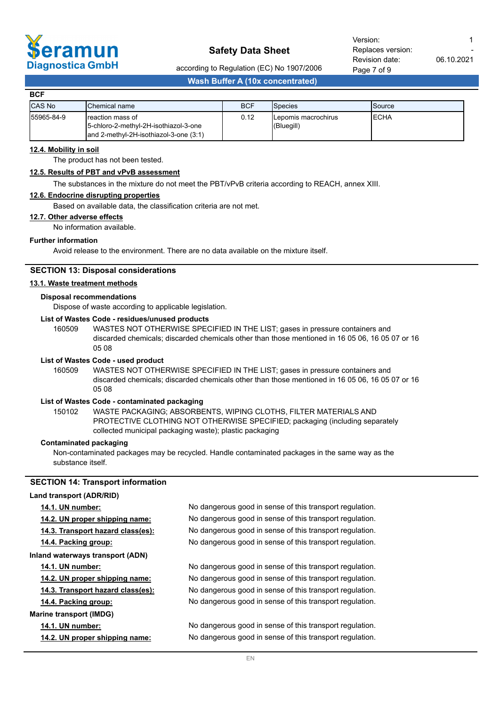

06.10.2021

according to Regulation (EC) No 1907/2006

**Wash Buffer A (10x concentrated)**

| <b>BCF</b>    |                                                                                                        |            |                                    |                 |
|---------------|--------------------------------------------------------------------------------------------------------|------------|------------------------------------|-----------------|
| <b>CAS No</b> | IChemical name                                                                                         | <b>BCF</b> | <b>Species</b>                     | <b>I</b> Source |
| 55965-84-9    | Ireaction mass of<br>15-chloro-2-methyl-2H-isothiazol-3-one<br>land 2-methyl-2H-isothiazol-3-one (3:1) | 0.12       | ILepomis macrochirus<br>(Bluegill) | IECHA           |

## **12.4. Mobility in soil**

The product has not been tested.

#### **12.5. Results of PBT and vPvB assessment**

The substances in the mixture do not meet the PBT/vPvB criteria according to REACH, annex XIII.

### **12.6. Endocrine disrupting properties**

Based on available data, the classification criteria are not met.

#### **12.7. Other adverse effects**

No information available.

## **Further information**

Avoid release to the environment. There are no data available on the mixture itself.

#### **SECTION 13: Disposal considerations**

#### **13.1. Waste treatment methods**

## **Disposal recommendations**

Dispose of waste according to applicable legislation.

## **List of Wastes Code - residues/unused products**

160509 WASTES NOT OTHERWISE SPECIFIED IN THE LIST; gases in pressure containers and discarded chemicals; discarded chemicals other than those mentioned in 16 05 06, 16 05 07 or 16 05 08

#### **List of Wastes Code - used product**

WASTES NOT OTHERWISE SPECIFIED IN THE LIST; gases in pressure containers and discarded chemicals; discarded chemicals other than those mentioned in 16 05 06, 16 05 07 or 16 05 08 160509

#### **List of Wastes Code - contaminated packaging**

WASTE PACKAGING; ABSORBENTS, WIPING CLOTHS, FILTER MATERIALS AND PROTECTIVE CLOTHING NOT OTHERWISE SPECIFIED; packaging (including separately collected municipal packaging waste); plastic packaging 150102

#### **Contaminated packaging**

Non-contaminated packages may be recycled. Handle contaminated packages in the same way as the substance itself.

## **SECTION 14: Transport information**

| Land transport (ADR/RID)          |                                                          |  |  |
|-----------------------------------|----------------------------------------------------------|--|--|
| <b>14.1. UN number:</b>           | No dangerous good in sense of this transport regulation. |  |  |
| 14.2. UN proper shipping name:    | No dangerous good in sense of this transport regulation. |  |  |
| 14.3. Transport hazard class(es): | No dangerous good in sense of this transport regulation. |  |  |
| 14.4. Packing group:              | No dangerous good in sense of this transport regulation. |  |  |
| Inland waterways transport (ADN)  |                                                          |  |  |
| <b>14.1. UN number:</b>           | No dangerous good in sense of this transport regulation. |  |  |
| 14.2. UN proper shipping name:    | No dangerous good in sense of this transport regulation. |  |  |
| 14.3. Transport hazard class(es): | No dangerous good in sense of this transport regulation. |  |  |
| 14.4. Packing group:              | No dangerous good in sense of this transport regulation. |  |  |
| <b>Marine transport (IMDG)</b>    |                                                          |  |  |
| 14.1. UN number:                  | No dangerous good in sense of this transport regulation. |  |  |
| 14.2. UN proper shipping name:    | No dangerous good in sense of this transport regulation. |  |  |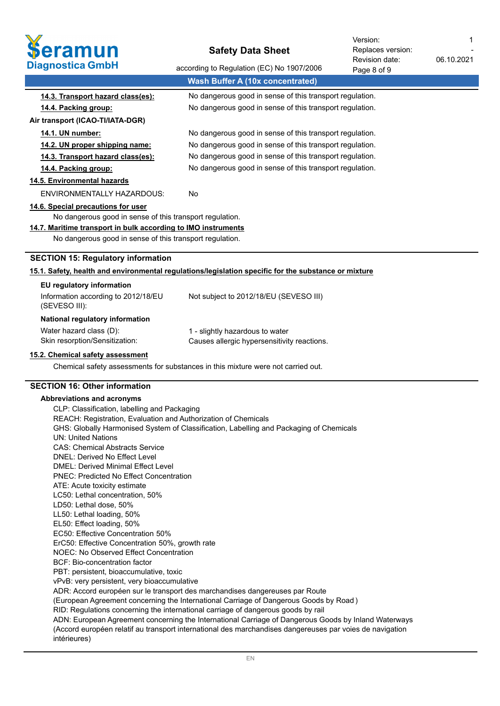

06.10.2021 Revision date: Replaces version: Version: 1

-

| Diagnostica GmbH                                                                                               | according to Regulation (EC) No 1907/2006                                                            | Page 8 of 9 |  |  |
|----------------------------------------------------------------------------------------------------------------|------------------------------------------------------------------------------------------------------|-------------|--|--|
|                                                                                                                | <b>Wash Buffer A (10x concentrated)</b>                                                              |             |  |  |
| 14.3. Transport hazard class(es):                                                                              | No dangerous good in sense of this transport regulation.                                             |             |  |  |
| 14.4. Packing group:                                                                                           | No dangerous good in sense of this transport regulation.                                             |             |  |  |
| Air transport (ICAO-TI/IATA-DGR)                                                                               |                                                                                                      |             |  |  |
| 14.1. UN number:                                                                                               | No dangerous good in sense of this transport regulation.                                             |             |  |  |
| 14.2. UN proper shipping name:                                                                                 | No dangerous good in sense of this transport regulation.                                             |             |  |  |
| 14.3. Transport hazard class(es):                                                                              | No dangerous good in sense of this transport regulation.                                             |             |  |  |
| 14.4. Packing group:                                                                                           | No dangerous good in sense of this transport regulation.                                             |             |  |  |
| 14.5. Environmental hazards                                                                                    |                                                                                                      |             |  |  |
| <b>ENVIRONMENTALLY HAZARDOUS:</b>                                                                              | No                                                                                                   |             |  |  |
| 14.6. Special precautions for user                                                                             |                                                                                                      |             |  |  |
| No dangerous good in sense of this transport regulation.                                                       |                                                                                                      |             |  |  |
| 14.7. Maritime transport in bulk according to IMO instruments                                                  |                                                                                                      |             |  |  |
| No dangerous good in sense of this transport regulation.                                                       |                                                                                                      |             |  |  |
| <b>SECTION 15: Regulatory information</b>                                                                      |                                                                                                      |             |  |  |
|                                                                                                                | 15.1. Safety, health and environmental regulations/legislation specific for the substance or mixture |             |  |  |
| EU regulatory information                                                                                      |                                                                                                      |             |  |  |
| Information according to 2012/18/EU<br>(SEVESO III):                                                           | Not subject to 2012/18/EU (SEVESO III)                                                               |             |  |  |
| National regulatory information                                                                                |                                                                                                      |             |  |  |
| Water hazard class (D):                                                                                        | 1 - slightly hazardous to water                                                                      |             |  |  |
| Skin resorption/Sensitization:                                                                                 | Causes allergic hypersensitivity reactions.                                                          |             |  |  |
| 15.2. Chemical safety assessment                                                                               |                                                                                                      |             |  |  |
|                                                                                                                | Chemical safety assessments for substances in this mixture were not carried out.                     |             |  |  |
| <b>SECTION 16: Other information</b>                                                                           |                                                                                                      |             |  |  |
|                                                                                                                |                                                                                                      |             |  |  |
| Abbreviations and acronyms                                                                                     |                                                                                                      |             |  |  |
| CLP: Classification, labelling and Packaging<br>REACH: Registration, Evaluation and Authorization of Chemicals |                                                                                                      |             |  |  |
| GHS: Globally Harmonised System of Classification, Labelling and Packaging of Chemicals                        |                                                                                                      |             |  |  |
| <b>UN: United Nations</b>                                                                                      |                                                                                                      |             |  |  |
| <b>CAS: Chemical Abstracts Service</b>                                                                         |                                                                                                      |             |  |  |
| DNEL: Derived No Effect Level                                                                                  |                                                                                                      |             |  |  |
| <b>DMEL: Derived Minimal Effect Level</b>                                                                      |                                                                                                      |             |  |  |

- PNEC: Predicted No Effect Concentration
- ATE: Acute toxicity estimate
- LC50: Lethal concentration, 50%
- LD50: Lethal dose, 50%
- LL50: Lethal loading, 50%
- EL50: Effect loading, 50%
- EC50: Effective Concentration 50%
- ErC50: Effective Concentration 50%, growth rate
- NOEC: No Observed Effect Concentration
- BCF: Bio-concentration factor
- PBT: persistent, bioaccumulative, toxic
- vPvB: very persistent, very bioaccumulative
- ADR: Accord européen sur le transport des marchandises dangereuses par Route
- (European Agreement concerning the International Carriage of Dangerous Goods by Road )
- RID: Regulations concerning the international carriage of dangerous goods by rail
- ADN: European Agreement concerning the International Carriage of Dangerous Goods by Inland Waterways (Accord européen relatif au transport international des marchandises dangereuses par voies de navigation
- intérieures)